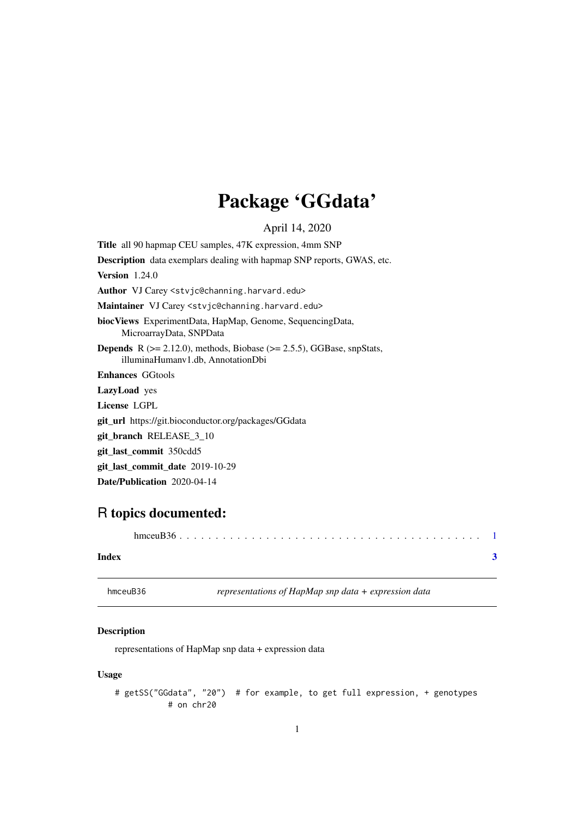## Package 'GGdata'

April 14, 2020

<span id="page-0-1"></span><span id="page-0-0"></span>Title all 90 hapmap CEU samples, 47K expression, 4mm SNP Description data exemplars dealing with hapmap SNP reports, GWAS, etc. Version 1.24.0 Author VJ Carey <stvjc@channing.harvard.edu> Maintainer VJ Carey <stvjc@channing.harvard.edu> biocViews ExperimentData, HapMap, Genome, SequencingData, MicroarrayData, SNPData **Depends** R  $(>= 2.12.0)$ , methods, Biobase  $(>= 2.5.5)$ , GGBase, snpStats, illuminaHumanv1.db, AnnotationDbi Enhances GGtools LazyLoad yes License LGPL git\_url https://git.bioconductor.org/packages/GGdata git\_branch RELEASE\_3\_10 git\_last\_commit 350cdd5 git\_last\_commit\_date 2019-10-29 Date/Publication 2020-04-14

### R topics documented:

#### **Index** [3](#page-2-0)

hmceuB36 *representations of HapMap snp data + expression data*

#### Description

representations of HapMap snp data + expression data

#### Usage

# getSS("GGdata", "20") # for example, to get full expression, + genotypes # on chr20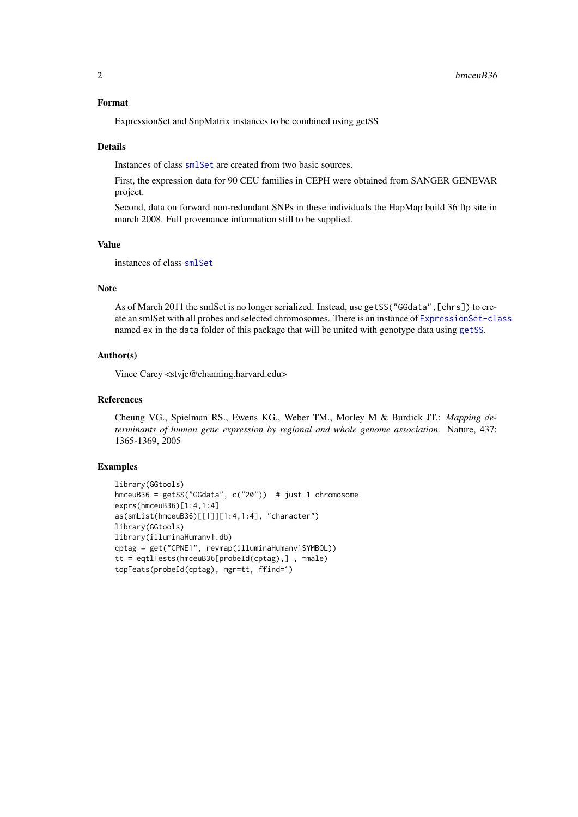#### <span id="page-1-0"></span>Format

ExpressionSet and SnpMatrix instances to be combined using getSS

#### Details

Instances of class [smlSet](#page-0-1) are created from two basic sources.

First, the expression data for 90 CEU families in CEPH were obtained from SANGER GENEVAR project.

Second, data on forward non-redundant SNPs in these individuals the HapMap build 36 ftp site in march 2008. Full provenance information still to be supplied.

#### Value

instances of class [smlSet](#page-0-1)

#### Note

As of March 2011 the smlSet is no longer serialized. Instead, use getSS ("GGdata", [chrs]) to create an smlSet with all probes and selected chromosomes. There is an instance of [ExpressionSet-class](#page-0-1) named ex in the data folder of this package that will be united with genotype data using [getSS](#page-0-1).

#### Author(s)

Vince Carey <stvjc@channing.harvard.edu>

#### References

Cheung VG., Spielman RS., Ewens KG., Weber TM., Morley M & Burdick JT.: *Mapping determinants of human gene expression by regional and whole genome association.* Nature, 437: 1365-1369, 2005

#### Examples

```
library(GGtools)
hmceuB36 = getSS("GGdata", c("20")) # just 1 chromosome
exprs(hmceuB36)[1:4,1:4]
as(smList(hmceuB36)[[1]][1:4,1:4], "character")
library(GGtools)
library(illuminaHumanv1.db)
cptag = get("CPNE1", revmap(illuminaHumanv1SYMBOL))
tt = eqtlTests(hmceuB36[probeId(cptag),] , ~male)
topFeats(probeId(cptag), mgr=tt, ffind=1)
```